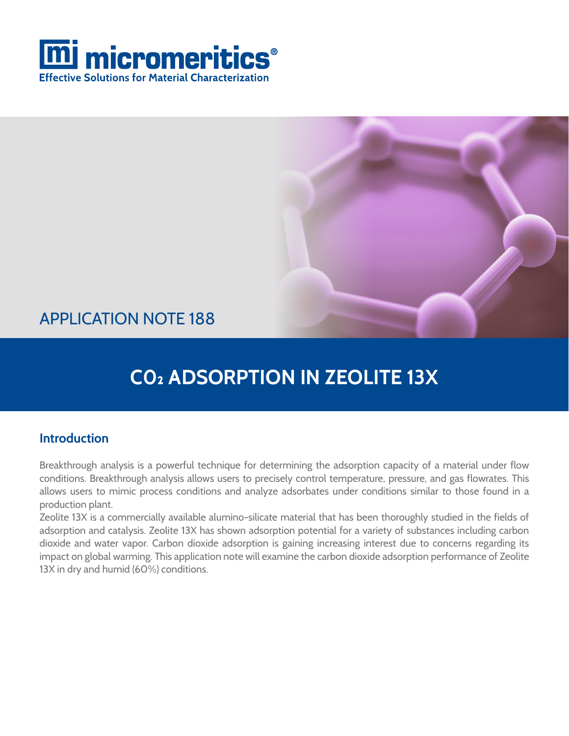



### APPLICATION NOTE 188

## **C0₂ ADSORPTION IN ZEOLITE 13X**

### **Introduction**

Breakthrough analysis is a powerful technique for determining the adsorption capacity of a material under flow conditions. Breakthrough analysis allows users to precisely control temperature, pressure, and gas flowrates. This allows users to mimic process conditions and analyze adsorbates under conditions similar to those found in a production plant.

Zeolite 13X is a commercially available alumino-silicate material that has been thoroughly studied in the fields of adsorption and catalysis. Zeolite 13X has shown adsorption potential for a variety of substances including carbon dioxide and water vapor. Carbon dioxide adsorption is gaining increasing interest due to concerns regarding its impact on global warming. This application note will examine the carbon dioxide adsorption performance of Zeolite 13X in dry and humid (60%) conditions.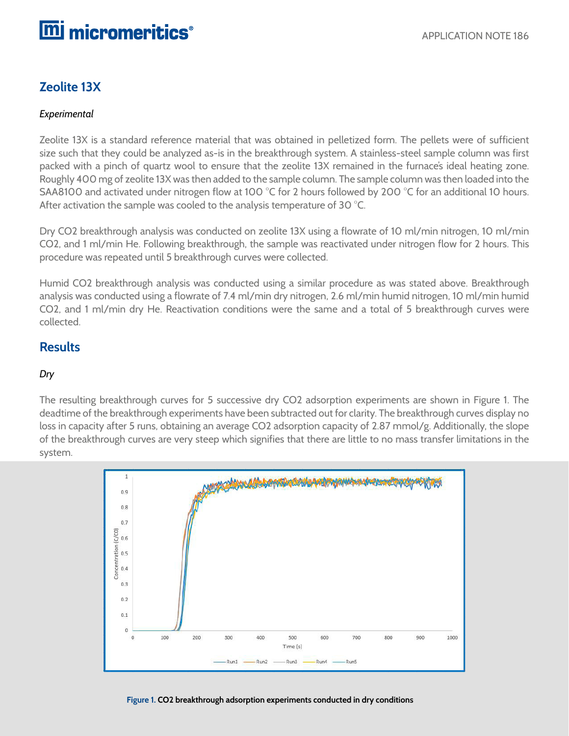## **mi** micromeritics<sup>®</sup>

### **Zeolite 13X**

#### *Experimental*

Zeolite 13X is a standard reference material that was obtained in pelletized form. The pellets were of sufficient size such that they could be analyzed as-is in the breakthrough system. A stainless-steel sample column was first packed with a pinch of quartz wool to ensure that the zeolite 13X remained in the furnace's ideal heating zone. Roughly 400 mg of zeolite 13X was then added to the sample column. The sample column was then loaded into the SAA8100 and activated under nitrogen flow at 100 °C for 2 hours followed by 200 °C for an additional 10 hours. After activation the sample was cooled to the analysis temperature of 30 °C.

Dry CO2 breakthrough analysis was conducted on zeolite 13X using a flowrate of 10 ml/min nitrogen, 10 ml/min CO2, and 1 ml/min He. Following breakthrough, the sample was reactivated under nitrogen flow for 2 hours. This procedure was repeated until 5 breakthrough curves were collected.

Humid CO2 breakthrough analysis was conducted using a similar procedure as was stated above. Breakthrough analysis was conducted using a flowrate of 7.4 ml/min dry nitrogen, 2.6 ml/min humid nitrogen, 10 ml/min humid CO2, and 1 ml/min dry He. Reactivation conditions were the same and a total of 5 breakthrough curves were collected.

### **Results**

#### *Dry*

The resulting breakthrough curves for 5 successive dry CO2 adsorption experiments are shown in Figure 1. The deadtime of the breakthrough experiments have been subtracted out for clarity. The breakthrough curves display no loss in capacity after 5 runs, obtaining an average CO2 adsorption capacity of 2.87 mmol/g. Additionally, the slope of the breakthrough curves are very steep which signifies that there are little to no mass transfer limitations in the system.



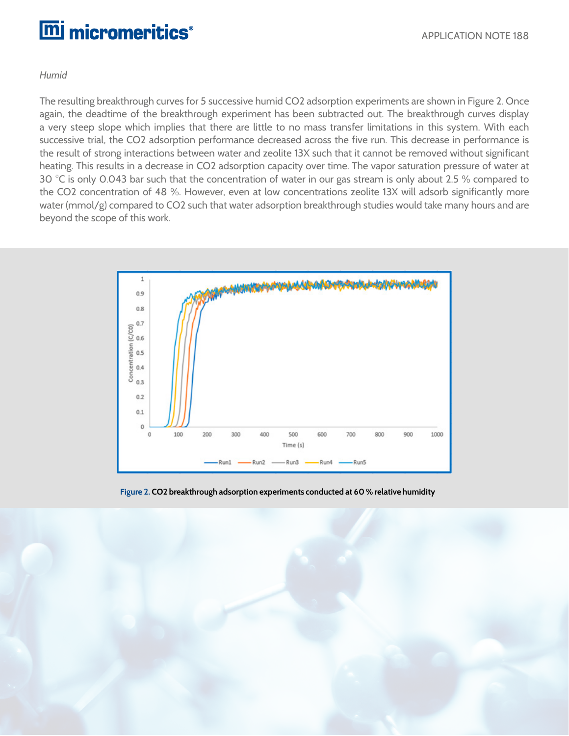# **m** micromeritics<sup>®</sup>

#### *Humid*

The resulting breakthrough curves for 5 successive humid CO2 adsorption experiments are shown in Figure 2. Once again, the deadtime of the breakthrough experiment has been subtracted out. The breakthrough curves display a very steep slope which implies that there are little to no mass transfer limitations in this system. With each successive trial, the CO2 adsorption performance decreased across the five run. This decrease in performance is the result of strong interactions between water and zeolite 13X such that it cannot be removed without significant heating. This results in a decrease in CO2 adsorption capacity over time. The vapor saturation pressure of water at 30 °C is only 0.043 bar such that the concentration of water in our gas stream is only about 2.5 % compared to the CO2 concentration of 48 %. However, even at low concentrations zeolite 13X will adsorb significantly more water (mmol/g) compared to CO2 such that water adsorption breakthrough studies would take many hours and are beyond the scope of this work.



**Figure 2. CO2 breakthrough adsorption experiments conducted at 60 % relative humidity**